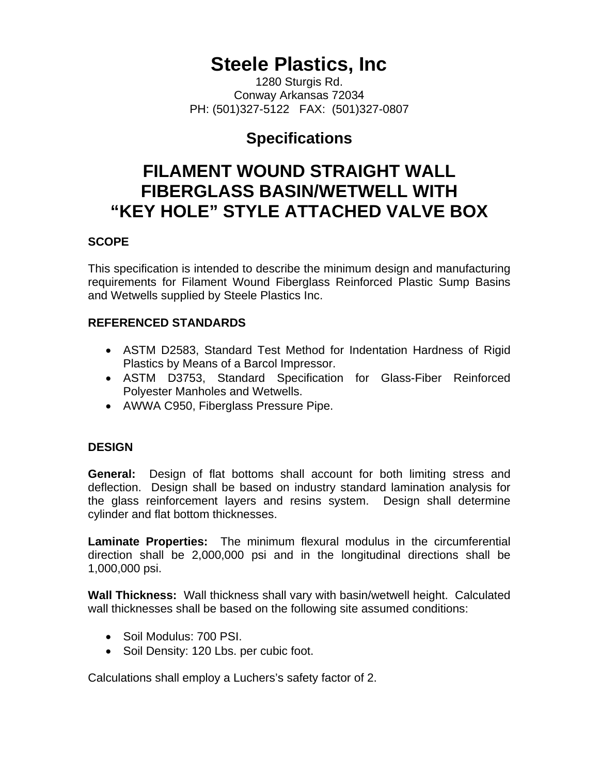# **Steele Plastics, Inc**

1280 Sturgis Rd. Conway Arkansas 72034 PH: (501)327-5122 FAX: (501)327-0807

## **Specifications**

## **FILAMENT WOUND STRAIGHT WALL FIBERGLASS BASIN/WETWELL WITH "KEY HOLE" STYLE ATTACHED VALVE BOX**

## **SCOPE**

This specification is intended to describe the minimum design and manufacturing requirements for Filament Wound Fiberglass Reinforced Plastic Sump Basins and Wetwells supplied by Steele Plastics Inc.

## **REFERENCED STANDARDS**

- ASTM D2583, Standard Test Method for Indentation Hardness of Rigid Plastics by Means of a Barcol Impressor.
- ASTM D3753, Standard Specification for Glass-Fiber Reinforced Polyester Manholes and Wetwells.
- AWWA C950, Fiberglass Pressure Pipe.

## **DESIGN**

**General:** Design of flat bottoms shall account for both limiting stress and deflection. Design shall be based on industry standard lamination analysis for the glass reinforcement layers and resins system. Design shall determine cylinder and flat bottom thicknesses.

**Laminate Properties:** The minimum flexural modulus in the circumferential direction shall be 2,000,000 psi and in the longitudinal directions shall be 1,000,000 psi.

**Wall Thickness:** Wall thickness shall vary with basin/wetwell height. Calculated wall thicknesses shall be based on the following site assumed conditions:

- Soil Modulus: 700 PSI.
- Soil Density: 120 Lbs. per cubic foot.

Calculations shall employ a Luchers's safety factor of 2.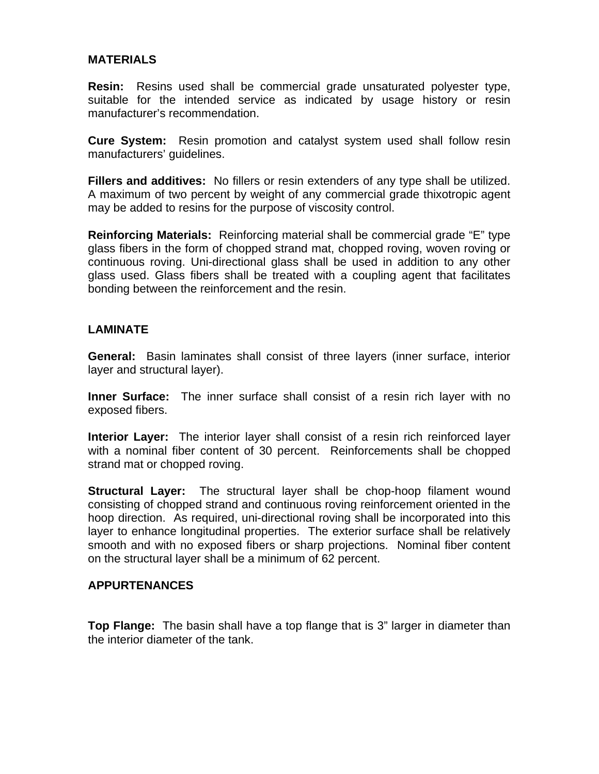#### **MATERIALS**

**Resin:** Resins used shall be commercial grade unsaturated polyester type, suitable for the intended service as indicated by usage history or resin manufacturer's recommendation.

**Cure System:** Resin promotion and catalyst system used shall follow resin manufacturers' guidelines.

**Fillers and additives:** No fillers or resin extenders of any type shall be utilized. A maximum of two percent by weight of any commercial grade thixotropic agent may be added to resins for the purpose of viscosity control.

**Reinforcing Materials:** Reinforcing material shall be commercial grade "E" type glass fibers in the form of chopped strand mat, chopped roving, woven roving or continuous roving. Uni-directional glass shall be used in addition to any other glass used. Glass fibers shall be treated with a coupling agent that facilitates bonding between the reinforcement and the resin.

#### **LAMINATE**

**General:** Basin laminates shall consist of three layers (inner surface, interior layer and structural layer).

**Inner Surface:** The inner surface shall consist of a resin rich layer with no exposed fibers.

**Interior Layer:** The interior layer shall consist of a resin rich reinforced layer with a nominal fiber content of 30 percent. Reinforcements shall be chopped strand mat or chopped roving.

**Structural Layer:** The structural layer shall be chop-hoop filament wound consisting of chopped strand and continuous roving reinforcement oriented in the hoop direction. As required, uni-directional roving shall be incorporated into this layer to enhance longitudinal properties. The exterior surface shall be relatively smooth and with no exposed fibers or sharp projections. Nominal fiber content on the structural layer shall be a minimum of 62 percent.

#### **APPURTENANCES**

**Top Flange:** The basin shall have a top flange that is 3" larger in diameter than the interior diameter of the tank.